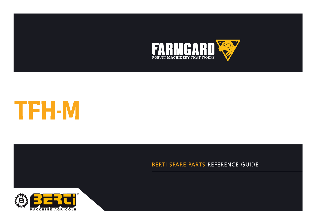



**CATALOGUE DE PIECES DETACHEES**

## BERTI SPARE PARTS REFERENCE GUIDE

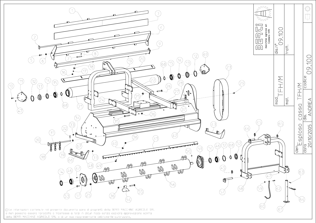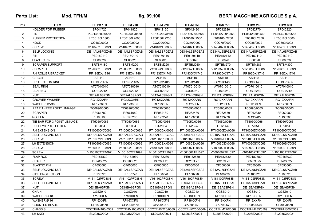## Parts List: Mod. TFH/M **fig. 09.100** fig. 09.100 BERTI MACCHINE AGRICOLE S.p.A.

| Pos.           | <b>ITEM</b>                     | <b>TFH/M 180</b> | <b>TFH/M 200</b> | <b>TFH/M 220</b> | <b>TFH/M 250</b> | <b>TFH/M 270</b> | <b>TFH/M 285</b> | <b>TFH/M 300</b> |
|----------------|---------------------------------|------------------|------------------|------------------|------------------|------------------|------------------|------------------|
| $\overline{1}$ | <b>HOLDER FOR RUBBER</b>        | SP041720         | SP041920         | SP042120         | SP042420         | SP042620         | SP042770         | SP042920         |
| $\overline{2}$ | <b>PIN</b>                      | PE0141800/0568   | PE0142000/0568   | PE0142200/0568   | PE0142500/0568   | PE0142700/0568   | PE0142850/0568   | PE0143000/0568   |
| 3              | <b>RUBBER PROTECTION</b>        | LT06180L1800     | LT06180L2000     | LT06180L2200     | LT06180L2500     | LT06180L2700     | LT06180L2850     | LT06180L3000     |
| $\overline{4}$ | <b>HOOD</b>                     | CO180/0002       | CO200/0002       | CO220/0002       | CO250/0002       | CO270/0002       | CO285/0002       | CO300/0002       |
| 5              | <b>SCREW</b>                    | V140402TF088N    | V140402TF088N    | V140402TF088N    | V140402TF088N    | V140402TF088N    | V140402TF088N    | V140402TF088N    |
| 6              | <b>SELF LOCKING</b>             | DE14AL6SPGZAB    | DE14AL6SPGZAB    | DE14AL6SPGZAB    | DE14AL6SPGZAB    | DE14AL6SPGZAB    | DE14AL6SPGZAB    | DE14AL6SPGZAB    |
| $\overline{7}$ | <b>PIN</b>                      | PE0150110        | PE0150110        | PE0150110        | PE0150110        | PE0150110        | PE0150110        | PE0150110        |
| 8              | <b>ELASTIC PIN</b>              | SE06026          | SE06026          | SE06026          | SE06026          | SE06026          | SE06026          | SE06026          |
| 9              | <b>SCRAPER SUPPORT</b>          | SRTBM180         | SRTBM200         | SRTBM220         | SRTBM250         | SRTBM270         | SRTBM285         | SRTBM300         |
| 10             | <b>SCRAPER</b>                  | V120352TF088N    | V120352TF088N    | V120352TF088N    | V120352TF088N    | V120352TF088N    | V120352TF088N    | V120352TF088N    |
| 11             | RH ROLLER BRACKET               | PR193DX/1746     | PR193DX/1746     | PR193DX/1746     | PR193DX/1746     | PR193DX/1746     | PR193DX/1746     | PR193DX/1746     |
| 12             | <b>CIRCLIP</b>                  | ASI110           | ASI110           | ASI110           | ASI110           | ASI110           | ASI110           | ASI110           |
| 13             | PROTECTION RING                 | GP193/1485       | GP193/1485       | GP193/1485       | GP193/1485       | GP193/1485       | GP193/1485       | GP193/1485       |
| 14             | <b>SEAL RING</b>                | AT07010010       | AT07010010       | AT07010010       | AT07010010       | AT07010010       | AT07010010       | AT07010010       |
| 15             | <b>BEARING</b>                  | COS02212         | COS02212         | COS02212         | COS02212         | COS02212         | COS02212         | COS02212         |
| 16             | <b>NUT</b>                      | DE12AL6SPGN      | DE12AL6SPGN      | DE12AL6SPGN      | DE12AL6SPGN      | DE12AL6SPGN      | DE12AL6SPGN      | DE12AL6SPGN      |
| 17             | <b>GROWER WASHER</b>            | RG12XXARN        | RG12XXARN        | RG12XXARN        | RG12XXARN        | RG12XXARN        | RG12XXARN        | RG12XXARN        |
| 18             | WASHER 12x36                    | <b>RF1236FN</b>  | <b>RF1236FN</b>  | <b>RF1236FN</b>  | <b>RF1236FN</b>  | <b>RF1236FN</b>  | <b>RF1236FN</b>  | <b>RF1236FN</b>  |
| 19             | <b>REAR THREE POINT LINKAGE</b> | TC0890/0065      | TC0890/0065      | TC0890/0065      | TC0890/0065      | TC0890/0065      | TC0890/0065      | TC0890/0065      |
| 20             | <b>SCRAPER</b>                  | RF061780         | RF061980         | RF062180         | RF062480         | RF062680         | RF062830         | RF062980         |
| 21             | <b>ROLLER</b>                   | RL193180         | RL193200         | RL193220         | RL193250         | RL193270         | RL193285         | RL193300         |
| 22             | TIE BAR FOR 3 POINT LINKAGE     | TT5050/0066      | TT5050/0066      | TT5050/0066      | TT5050/0066      | TT5050/0066      | TT5050/0066      | TT5050/0066      |
| 23             | PULLEYS PROTECTION              | CT/2054          | CT/2054          | CT/2054          | CT/2054          | CT/2054          | CT/2054          | CT/2054          |
| 24             | RH EXTENSION                    | PT10060DX/0066   | PT10060DX/0066   | PT10060DX/0066   | PT10060DX/0066   | PT10060DX/0066   | PT10060DX/0066   | PT10060DX/0066   |
| 25             | SELF LOCKING NUT                | DE18AL6SPGZAB    | DE18AL6SPGZAB    | DE18AL6SPGZAB    | DE18AL6SPGZAB    | DE18AL6SPGZAB    | DE18AL6SPGZAB    | DE18AL6SPGZAB    |
| 26             | <b>SCREW</b>                    | V181002PF088N    | V181002PF088N    | V181002PF088N    | V181002PF088N    | V181002PF088N    | V181002PF088N    | V181002PF088N    |
| 27             | LH EXTENSION                    | PT10060SX/0066   | PT10060SX/0066   | PT10060SX/0066   | PT10060SX/0066   | PT10060SX/0066   | PT10060SX/0066   | PT10060SX/0066   |
| 28             | <b>SCREW</b>                    | V180902TF088N    | V180902TF088N    | V180902TF088N    | V180902TF088N    | V180902TF088N    | V180902TF088N    | V180902TF088N    |
| 29             | <b>SCREW</b>                    | V1001602TF109Z   | V1001602TF109Z   | V1001602TF109Z   | V1001602TF109Z   | V1001602TF109Z   | V1001602TF109Z   | V1001602TF109Z   |
| 30             | <b>FLAP ROD</b>                 | PE0181830        | PE0182030        | PE0182230        | PE0182530        | PE0182730        | PE0182880        | PE0183030        |
| 31             | <b>SPACER</b>                   | DC283L25         | DC283L25         | DC283L25         | DC283L25         | DC283L25         | DC283L25         | DC283L25         |
| 32             | <b>ELASTIC PIN</b>              | CF050060         | CF050060         | CF050060         | CF050060         | CF050060         | CF050060         | CF050060         |
| 33             | SELF LOCKING NUT                | DE12AL6SPGZAB    | DE12AL6SPGZAB    | DE12AL6SPGZAB    | DE12AL6SPGZAB    | DE12AL6SPGZAB    | DE12AL6SPGZAB    | DE12AL6SPGZAB    |
| 34             | SIDE PROTECTION                 | PL100720         | PL100720         | PL100720         | PL100720         | PL100720         | PL100720         | PL100720         |
| 35             | <b>SCREW</b>                    | V161102PF088N    | V161102PF088N    | V161102PF088N    | V161102PF088N    | V161102PF088N    | V161102PF088N    | V161102PF088N    |
| 36             | <b>SELF LOCKING NUT</b>         | DE16AL6SPGZAB    | DE16AL6SPGZAB    | DE16AL6SPGZAB    | DE16AL6SPGZAB    | DE16AL6SPGZAB    | DE16AL6SPGZAB    | DE16AL6SPGZAB    |
| 37             | <b>NUT</b>                      | DE18BA6SPGN      | DE18BA6SPGN      | DE18BA6SPGN      | DE18BA6SPGN      | DE18BA6SPGN      | DE18BA6SPGN      | DE18BA6SPGN      |
| 38             | <b>CHAIN</b>                    | CGSZ010          | CGSZ010          | CGSZ010          | CGSZ010          | CGSZ010          | CGSZ010          | CGSZ010          |
| 39             | WASHER Ø 18                     | RP18XXFN         | RP18XXFN         | RP18XXFN         | RP18XXFN         | RP18XXFN         | RP18XXFN         | RP18XXFN         |
| 40             | WASHER Ø 16                     | RP16XXFN         | RP16XXFN         | RP16XXFN         | RP16XXFN         | RP16XXFN         | RP16XXFN         | RP16XXFN         |
| 41             | <b>COUNTER BLADE</b>            | CP180/0570       | CP200/0570       | CP220/0570       | CP250/0570       | CP270/0570       | CP285/0570       | CP300/0570       |
| 42             | <b>CHASSIS</b>                  | CCCTFHM180/0569  | CCCTFHM200/0569  | CCCTFHM220/0569  | CCCTFHM250/0569  | CCCTFHM270/0569  | CCCTFHM285/0569  | CCCTFHM300/0569  |
| 43             | LH SKID                         | SL203SX/0021     | SL203SX/0021     | SL203SX/0021     | SL203SX/0021     | SL203SX/0021     | SL203SX/0021     | SL203SX/0021     |